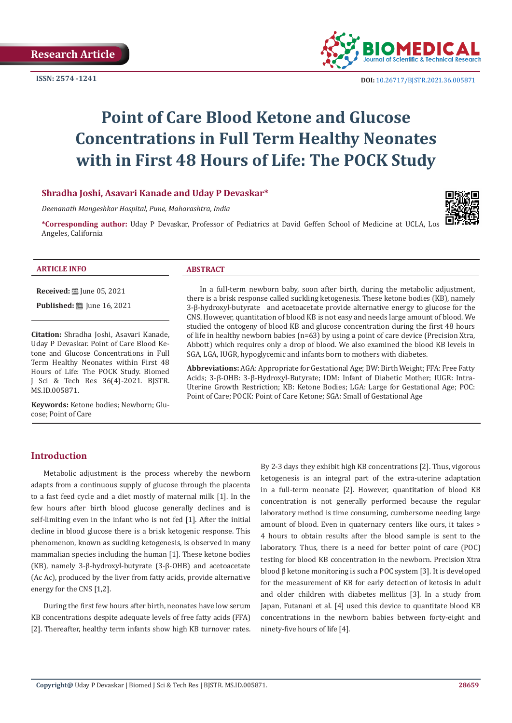**ISSN: 2574 -1241**



 **DOI:** [10.26717/BJSTR.2021.36.005871](https://dx.doi.org/10.26717/BJSTR.2021.36.005871)

# **Point of Care Blood Ketone and Glucose Concentrations in Full Term Healthy Neonates with in First 48 Hours of Life: The POCK Study**

# **Shradha Joshi, Asavari Kanade and Uday P Devaskar\***

*Deenanath Mangeshkar Hospital, Pune, Maharashtra, India* 

**\*Corresponding author:** Uday P Devaskar, Professor of Pediatrics at David Geffen School of Medicine at UCLA, Los Angeles, California



#### **ARTICLE INFO ABSTRACT**

**Received:** ■ June 05, 2021

**Published:** ■ June 16, 2021

**Citation:** Shradha Joshi, Asavari Kanade, Uday P Devaskar. Point of Care Blood Ketone and Glucose Concentrations in Full Term Healthy Neonates within First 48 Hours of Life: The POCK Study. Biomed J Sci & Tech Res 36(4)-2021. BJSTR. MS.ID.005871.

**Keywords:** Ketone bodies; Newborn; Glucose; Point of Care

In a full-term newborn baby, soon after birth, during the metabolic adjustment, there is a brisk response called suckling ketogenesis. These ketone bodies (KB), namely 3-β-hydroxyl-butyrate and acetoacetate provide alternative energy to glucose for the CNS. However, quantitation of blood KB is not easy and needs large amount of blood. We studied the ontogeny of blood KB and glucose concentration during the first 48 hours of life in healthy newborn babies (n=63) by using a point of care device (Precision Xtra, Abbott) which requires only a drop of blood. We also examined the blood KB levels in SGA, LGA, IUGR, hypoglycemic and infants born to mothers with diabetes.

**Abbreviations:** AGA: Appropriate for Gestational Age; BW: Birth Weight; FFA: Free Fatty Acids; 3-β-OHB: 3-β-Hydroxyl-Butyrate; IDM: Infant of Diabetic Mother; IUGR: Intra-Uterine Growth Restriction; KB: Ketone Bodies; LGA: Large for Gestational Age; POC: Point of Care; POCK: Point of Care Ketone; SGA: Small of Gestational Age

# **Introduction**

Metabolic adjustment is the process whereby the newborn adapts from a continuous supply of glucose through the placenta to a fast feed cycle and a diet mostly of maternal milk [1]. In the few hours after birth blood glucose generally declines and is self-limiting even in the infant who is not fed [1]. After the initial decline in blood glucose there is a brisk ketogenic response. This phenomenon, known as suckling ketogenesis, is observed in many mammalian species including the human [1]. These ketone bodies (KB), namely 3-β-hydroxyl-butyrate (3-β-OHB) and acetoacetate (Ac Ac), produced by the liver from fatty acids, provide alternative energy for the CNS [1,2].

During the first few hours after birth, neonates have low serum KB concentrations despite adequate levels of free fatty acids (FFA) [2]. Thereafter, healthy term infants show high KB turnover rates.

By 2-3 days they exhibit high KB concentrations [2]. Thus, vigorous ketogenesis is an integral part of the extra-uterine adaptation in a full-term neonate [2]. However, quantitation of blood KB concentration is not generally performed because the regular laboratory method is time consuming, cumbersome needing large amount of blood. Even in quaternary centers like ours, it takes > 4 hours to obtain results after the blood sample is sent to the laboratory. Thus, there is a need for better point of care (POC) testing for blood KB concentration in the newborn. Precision Xtra blood β ketone monitoring is such a POC system [3]. It is developed for the measurement of KB for early detection of ketosis in adult and older children with diabetes mellitus [3]. In a study from Japan, Futanani et al. [4] used this device to quantitate blood KB concentrations in the newborn babies between forty-eight and ninety-five hours of life [4].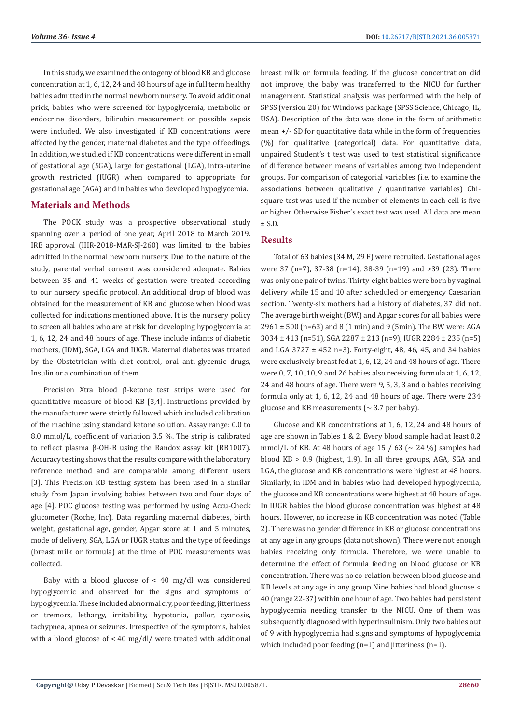In this study, we examined the ontogeny of blood KB and glucose concentration at 1, 6, 12, 24 and 48 hours of age in full term healthy babies admitted in the normal newborn nursery. To avoid additional prick, babies who were screened for hypoglycemia, metabolic or endocrine disorders, bilirubin measurement or possible sepsis were included. We also investigated if KB concentrations were affected by the gender, maternal diabetes and the type of feedings. In addition, we studied if KB concentrations were different in small of gestational age (SGA), large for gestational (LGA), intra-uterine growth restricted (IUGR) when compared to appropriate for gestational age (AGA) and in babies who developed hypoglycemia.

# **Materials and Methods**

The POCK study was a prospective observational study spanning over a period of one year, April 2018 to March 2019. IRB approval (IHR-2018-MAR-SJ-260) was limited to the babies admitted in the normal newborn nursery. Due to the nature of the study, parental verbal consent was considered adequate. Babies between 35 and 41 weeks of gestation were treated according to our nursery specific protocol. An additional drop of blood was obtained for the measurement of KB and glucose when blood was collected for indications mentioned above. It is the nursery policy to screen all babies who are at risk for developing hypoglycemia at 1, 6, 12, 24 and 48 hours of age. These include infants of diabetic mothers, (IDM), SGA, LGA and IUGR. Maternal diabetes was treated by the Obstetrician with diet control, oral anti-glycemic drugs, Insulin or a combination of them.

Precision Xtra blood β-ketone test strips were used for quantitative measure of blood KB [3,4]. Instructions provided by the manufacturer were strictly followed which included calibration of the machine using standard ketone solution. Assay range: 0.0 to 8.0 mmol/L, coefficient of variation 3.5 %. The strip is calibrated to reflect plasma β-OH-B using the Randox assay kit (RB1007). Accuracy testing shows that the results compare with the laboratory reference method and are comparable among different users [3]. This Precision KB testing system has been used in a similar study from Japan involving babies between two and four days of age [4]. POC glucose testing was performed by using Accu-Check glucometer (Roche, Inc). Data regarding maternal diabetes, birth weight, gestational age, gender, Apgar score at 1 and 5 minutes, mode of delivery, SGA, LGA or IUGR status and the type of feedings (breast milk or formula) at the time of POC measurements was collected.

Baby with a blood glucose of  $\lt$  40 mg/dl was considered hypoglycemic and observed for the signs and symptoms of hypoglycemia. These included abnormal cry, poor feeding, jitteriness or tremors, lethargy, irritability, hypotonia, pallor, cyanosis, tachypnea, apnea or seizures. Irrespective of the symptoms, babies with a blood glucose of < 40 mg/dl/ were treated with additional

breast milk or formula feeding. If the glucose concentration did not improve, the baby was transferred to the NICU for further management. Statistical analysis was performed with the help of SPSS (version 20) for Windows package (SPSS Science, Chicago, IL, USA). Description of the data was done in the form of arithmetic mean  $+/-$  SD for quantitative data while in the form of frequencies (%) for qualitative (categorical) data. For quantitative data, unpaired Student's t test was used to test statistical significance of difference between means of variables among two independent groups. For comparison of categorial variables (i.e. to examine the associations between qualitative / quantitative variables) Chisquare test was used if the number of elements in each cell is five or higher. Otherwise Fisher's exact test was used. All data are mean  $+ S.D.$ 

# **Results**

Total of 63 babies (34 M, 29 F) were recruited. Gestational ages were 37 (n=7), 37-38 (n=14), 38-39 (n=19) and >39 (23). There was only one pair of twins. Thirty-eight babies were born by vaginal delivery while 15 and 10 after scheduled or emergency Caesarian section. Twenty-six mothers had a history of diabetes, 37 did not. The average birth weight (BW.) and Apgar scores for all babies were 2961 ± 500 (n=63) and 8 (1 min) and 9 (5min). The BW were: AGA 3034 ± 413 (n=51), SGA 2287 ± 213 (n=9), IUGR 2284 ± 235 (n=5) and LGA 3727 ± 452 n=3). Forty-eight, 48, 46, 45, and 34 babies were exclusively breast fed at 1, 6, 12, 24 and 48 hours of age. There were 0, 7, 10 ,10, 9 and 26 babies also receiving formula at 1, 6, 12, 24 and 48 hours of age. There were 9, 5, 3, 3 and o babies receiving formula only at 1, 6, 12, 24 and 48 hours of age. There were 234 glucose and KB measurements ( $\sim$  3.7 per baby).

Glucose and KB concentrations at 1, 6, 12, 24 and 48 hours of age are shown in Tables 1 & 2. Every blood sample had at least 0.2 mmol/L of KB. At 48 hours of age 15 / 63 ( $\sim$  24 %) samples had blood KB > 0.9 (highest, 1.9). In all three groups, AGA, SGA and LGA, the glucose and KB concentrations were highest at 48 hours. Similarly, in IDM and in babies who had developed hypoglycemia, the glucose and KB concentrations were highest at 48 hours of age. In IUGR babies the blood glucose concentration was highest at 48 hours. However, no increase in KB concentration was noted (Table 2). There was no gender difference in KB or glucose concentrations at any age in any groups (data not shown). There were not enough babies receiving only formula. Therefore, we were unable to determine the effect of formula feeding on blood glucose or KB concentration. There was no co-relation between blood glucose and KB levels at any age in any group Nine babies had blood glucose < 40 (range 22-37) within one hour of age. Two babies had persistent hypoglycemia needing transfer to the NICU. One of them was subsequently diagnosed with hyperinsulinism. Only two babies out of 9 with hypoglycemia had signs and symptoms of hypoglycemia which included poor feeding  $(n=1)$  and jitteriness  $(n=1)$ .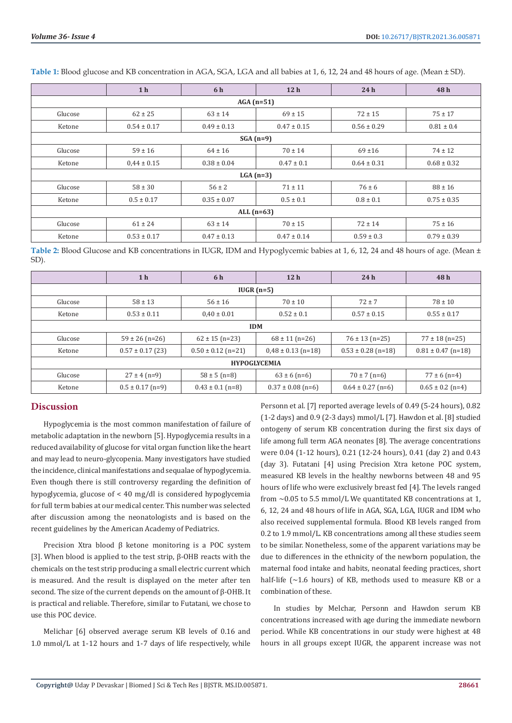|              | 1 <sub>h</sub>  | 6 h             | 12 <sub>h</sub> | 24h             | 48h             |  |  |  |
|--------------|-----------------|-----------------|-----------------|-----------------|-----------------|--|--|--|
| $AGA(n=51)$  |                 |                 |                 |                 |                 |  |  |  |
| Glucose      | $62 \pm 25$     | $63 \pm 14$     | $69 \pm 15$     | $72 \pm 15$     | $75 \pm 17$     |  |  |  |
| Ketone       | $0.54 \pm 0.17$ | $0.49 \pm 0.13$ | $0.47 \pm 0.15$ | $0.56 \pm 0.29$ | $0.81 \pm 0.4$  |  |  |  |
| $SGA(n=9)$   |                 |                 |                 |                 |                 |  |  |  |
| Glucose      | $59 \pm 16$     | $64 \pm 16$     | $70 \pm 14$     | $69 + 16$       | $74 \pm 12$     |  |  |  |
| Ketone       | $0.44 \pm 0.15$ | $0.38 \pm 0.04$ | $0.47 \pm 0.1$  | $0.64 \pm 0.31$ | $0.68 \pm 0.32$ |  |  |  |
| $LGA(n=3)$   |                 |                 |                 |                 |                 |  |  |  |
| Glucose      | $58 \pm 30$     | $56 \pm 2$      | $71 \pm 11$     | $76 \pm 6$      | $88 \pm 16$     |  |  |  |
| Ketone       | $0.5 \pm 0.17$  | $0.35 \pm 0.07$ | $0.5 \pm 0.1$   | $0.8 \pm 0.1$   | $0.75 \pm 0.35$ |  |  |  |
| ALL $(n=63)$ |                 |                 |                 |                 |                 |  |  |  |
| Glucose      | $61 \pm 24$     | $63 \pm 14$     | $70 \pm 15$     | $72 \pm 14$     | $75 \pm 16$     |  |  |  |
| Ketone       | $0.53 \pm 0.17$ | $0.47 \pm 0.13$ | $0.47 \pm 0.14$ | $0.59 \pm 0.3$  | $0.79 \pm 0.39$ |  |  |  |

**Table 1:** Blood glucose and KB concentration in AGA, SGA, LGA and all babies at 1, 6, 12, 24 and 48 hours of age. (Mean ± SD).

**Table 2:** Blood Glucose and KB concentrations in IUGR, IDM and Hypoglycemic babies at 1, 6, 12, 24 and 48 hours of age. (Mean ± SD).

|                     | 1 <sub>h</sub>       | 6 h                    | 12 <sub>h</sub>        | 24h                    | 48h                    |  |  |  |
|---------------------|----------------------|------------------------|------------------------|------------------------|------------------------|--|--|--|
| $IUGR(n=5)$         |                      |                        |                        |                        |                        |  |  |  |
| Glucose             | $58 \pm 13$          | $56 \pm 16$            | $70 \pm 10$            | $72 + 7$               | $78 \pm 10$            |  |  |  |
| Ketone              | $0.53 \pm 0.11$      | $0.40 \pm 0.01$        | $0.52 \pm 0.1$         | $0.57 \pm 0.15$        | $0.55 \pm 0.17$        |  |  |  |
| <b>IDM</b>          |                      |                        |                        |                        |                        |  |  |  |
| Glucose             | $59 \pm 26$ (n=26)   | $62 \pm 15$ (n=23)     | $68 \pm 11$ (n=26)     | $76 \pm 13$ (n=25)     | $77 \pm 18$ (n=25)     |  |  |  |
| Ketone              | $0.57 \pm 0.17$ (23) | $0.50 \pm 0.12$ (n=21) | $0.48 \pm 0.13$ (n=18) | $0.53 \pm 0.28$ (n=18) | $0.81 \pm 0.47$ (n=18) |  |  |  |
| <b>HYPOGLYCEMIA</b> |                      |                        |                        |                        |                        |  |  |  |
| Glucose             | $27 \pm 4$ (n=9)     | $58 \pm 5$ (n=8)       | $63 \pm 6$ (n=6)       | $70 \pm 7$ (n=6)       | $77 \pm 6$ (n=4)       |  |  |  |
| Ketone              | $0.5 \pm 0.17$ (n=9) | $0.43 \pm 0.1$ (n=8)   | $0.37 \pm 0.08$ (n=6)  | $0.64 \pm 0.27$ (n=6)  | $0.65 \pm 0.2$ (n=4)   |  |  |  |

# **Discussion**

Hypoglycemia is the most common manifestation of failure of metabolic adaptation in the newborn [5]. Hypoglycemia results in a reduced availability of glucose for vital organ function like the heart and may lead to neuro-glycopenia. Many investigators have studied the incidence, clinical manifestations and sequalae of hypoglycemia. Even though there is still controversy regarding the definition of hypoglycemia, glucose of < 40 mg/dl is considered hypoglycemia for full term babies at our medical center. This number was selected after discussion among the neonatologists and is based on the recent guidelines by the American Academy of Pediatrics.

Precision Xtra blood β ketone monitoring is a POC system [3]. When blood is applied to the test strip, β-OHB reacts with the chemicals on the test strip producing a small electric current which is measured. And the result is displayed on the meter after ten second. The size of the current depends on the amount of β-OHB. It is practical and reliable. Therefore, similar to Futatani, we chose to use this POC device.

Melichar [6] observed average serum KB levels of 0.16 and 1.0 mmol/L at 1-12 hours and 1-7 days of life respectively, while Personn et al. [7] reported average levels of 0.49 (5-24 hours), 0.82 (1-2 days) and 0.9 (2-3 days) mmol/L [7]. Hawdon et al. [8] studied ontogeny of serum KB concentration during the first six days of life among full term AGA neonates [8]. The average concentrations were 0.04 (1-12 hours), 0.21 (12-24 hours), 0.41 (day 2) and 0.43 (day 3). Futatani [4] using Precision Xtra ketone POC system, measured KB levels in the healthy newborns between 48 and 95 hours of life who were exclusively breast fed [4]. The levels ranged from  $\sim$  0.05 to 5.5 mmol/L We quantitated KB concentrations at 1, 6, 12, 24 and 48 hours of life in AGA, SGA, LGA, IUGR and IDM who also received supplemental formula. Blood KB levels ranged from 0.2 to 1.9 mmol/L. KB concentrations among all these studies seem to be similar. Nonetheless, some of the apparent variations may be due to differences in the ethnicity of the newborn population, the maternal food intake and habits, neonatal feeding practices, short half-life  $\left(\sim 1.6 \text{ hours}\right)$  of KB, methods used to measure KB or a combination of these.

In studies by Melchar, Personn and Hawdon serum KB concentrations increased with age during the immediate newborn period. While KB concentrations in our study were highest at 48 hours in all groups except IUGR, the apparent increase was not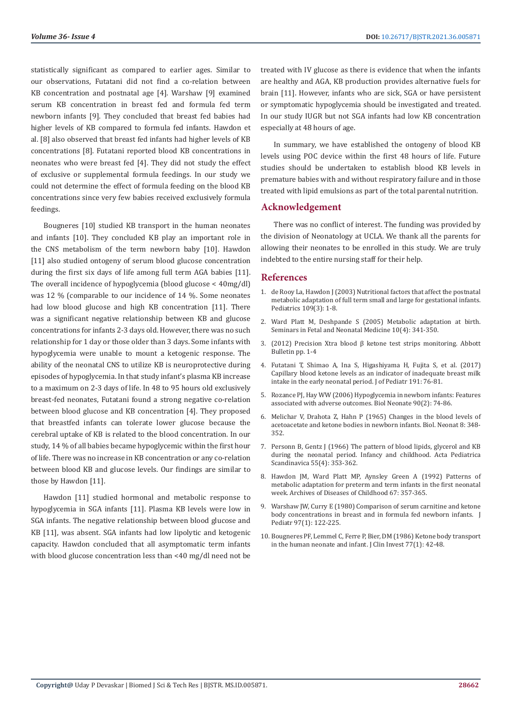statistically significant as compared to earlier ages. Similar to our observations, Futatani did not find a co-relation between KB concentration and postnatal age [4]. Warshaw [9] examined serum KB concentration in breast fed and formula fed term newborn infants [9]. They concluded that breast fed babies had higher levels of KB compared to formula fed infants. Hawdon et al. [8] also observed that breast fed infants had higher levels of KB concentrations [8]. Futatani reported blood KB concentrations in neonates who were breast fed [4]. They did not study the effect of exclusive or supplemental formula feedings. In our study we could not determine the effect of formula feeding on the blood KB concentrations since very few babies received exclusively formula feedings.

Bougneres [10] studied KB transport in the human neonates and infants [10]. They concluded KB play an important role in the CNS metabolism of the term newborn baby [10]. Hawdon [11] also studied ontogeny of serum blood glucose concentration during the first six days of life among full term AGA babies [11]. The overall incidence of hypoglycemia (blood glucose < 40mg/dl) was 12 % (comparable to our incidence of 14 %. Some neonates had low blood glucose and high KB concentration [11]. There was a significant negative relationship between KB and glucose concentrations for infants 2-3 days old. However, there was no such relationship for 1 day or those older than 3 days. Some infants with hypoglycemia were unable to mount a ketogenic response. The ability of the neonatal CNS to utilize KB is neuroprotective during episodes of hypoglycemia. In that study infant's plasma KB increase to a maximum on 2-3 days of life. In 48 to 95 hours old exclusively breast-fed neonates, Futatani found a strong negative co-relation between blood glucose and KB concentration [4]. They proposed that breastfed infants can tolerate lower glucose because the cerebral uptake of KB is related to the blood concentration. In our study, 14 % of all babies became hypoglycemic within the first hour of life. There was no increase in KB concentration or any co-relation between blood KB and glucose levels. Our findings are similar to those by Hawdon [11].

Hawdon [11] studied hormonal and metabolic response to hypoglycemia in SGA infants [11]. Plasma KB levels were low in SGA infants. The negative relationship between blood glucose and KB [11], was absent. SGA infants had low lipolytic and ketogenic capacity. Hawdon concluded that all asymptomatic term infants with blood glucose concentration less than <40 mg/dl need not be

treated with IV glucose as there is evidence that when the infants are healthy and AGA, KB production provides alternative fuels for brain [11]. However, infants who are sick, SGA or have persistent or symptomatic hypoglycemia should be investigated and treated. In our study IUGR but not SGA infants had low KB concentration especially at 48 hours of age.

In summary, we have established the ontogeny of blood KB levels using POC device within the first 48 hours of life. Future studies should be undertaken to establish blood KB levels in premature babies with and without respiratory failure and in those treated with lipid emulsions as part of the total parental nutrition.

### **Acknowledgement**

There was no conflict of interest. The funding was provided by the division of Neonatology at UCLA. We thank all the parents for allowing their neonates to be enrolled in this study. We are truly indebted to the entire nursing staff for their help.

# **References**

- 1. [de Rooy La, Hawdon J \(2003\) Nutritional factors that affect the postnatal](https://www.researchgate.net/publication/11487819_Nutritional_Factors_That_Affect_the_Postnatal_Metabolic_Adaptation_of_Full-Term_Small-_and_Large-for-Gestational-Age_Infants) [metabolic adaptation of full term small and large for gestational infants.](https://www.researchgate.net/publication/11487819_Nutritional_Factors_That_Affect_the_Postnatal_Metabolic_Adaptation_of_Full-Term_Small-_and_Large-for-Gestational-Age_Infants) [Pediatrics 109\(3\): 1-8.](https://www.researchgate.net/publication/11487819_Nutritional_Factors_That_Affect_the_Postnatal_Metabolic_Adaptation_of_Full-Term_Small-_and_Large-for-Gestational-Age_Infants)
- 2. [Ward Platt M, Deshpande S \(2005\) Metabolic adaptation at birth.](https://pubmed.ncbi.nlm.nih.gov/15916931/) [Seminars in Fetal and Neonatal Medicine 10\(4\): 341-350.](https://pubmed.ncbi.nlm.nih.gov/15916931/)
- 3. (2012) Precision Xtra blood β ketone test strips monitoring. Abbott Bulletin pp. 1-4
- 4. [Futatani T, Shimao A, Ina S, Higashiyama H, Fujita S, et al. \(2017\)](https://pubmed.ncbi.nlm.nih.gov/29173326/) [Capillary blood ketone levels as an indicator of inadequate breast milk](https://pubmed.ncbi.nlm.nih.gov/29173326/) [intake in the early neonatal period. J of Pediatr 191: 76-81.](https://pubmed.ncbi.nlm.nih.gov/29173326/)
- 5. [Rozance PJ, Hay WW \(2006\) Hypoglycemia in newborn infants: Features](https://pubmed.ncbi.nlm.nih.gov/16534190/) [associated with adverse outcomes. Biol Neonate 90\(2\): 74-86.](https://pubmed.ncbi.nlm.nih.gov/16534190/)
- 6. [Melichar V, Drahota Z, Hahn P \(1965\) Changes in the blood levels of](https://www.karger.com/Article/Abstract/239968) [acetoacetate and ketone bodies in newborn infants. Biol. Neonat 8: 348-](https://www.karger.com/Article/Abstract/239968) [352.](https://www.karger.com/Article/Abstract/239968)
- 7. [Personn B, Gentz J \(1966\) The pattern of blood lipids, glycerol and KB](https://pubmed.ncbi.nlm.nih.gov/5966335/) [during the neonatal period. Infancy and childhood. Acta Pediatrica](https://pubmed.ncbi.nlm.nih.gov/5966335/) [Scandinavica 55\(4\): 353-362.](https://pubmed.ncbi.nlm.nih.gov/5966335/)
- 8. [Hawdon JM, Ward Platt MP, Aynsley Green A \(1992\) Patterns of](https://pubmed.ncbi.nlm.nih.gov/1586171/) [metabolic adaptation for preterm and term infants in the first neonatal](https://pubmed.ncbi.nlm.nih.gov/1586171/) [week. Archives of Diseases of Childhood 67: 357-365.](https://pubmed.ncbi.nlm.nih.gov/1586171/)
- 9. [Warshaw JW, Curry E \(1980\) Comparison of serum carnitine and ketone](https://pubmed.ncbi.nlm.nih.gov/7381632/) [body concentrations in breast and in formula fed newborn infants. J](https://pubmed.ncbi.nlm.nih.gov/7381632/) [Pediatr 97\(1\): 122-225.](https://pubmed.ncbi.nlm.nih.gov/7381632/)
- 10. [Bougneres PF, Lemmel C, Ferre P, Bier, DM \(1986\) Ketone body transport](https://www.ncbi.nlm.nih.gov/pmc/articles/PMC423306/) [in the human neonate and infant. J Clin Invest 77\(1\): 42-48.](https://www.ncbi.nlm.nih.gov/pmc/articles/PMC423306/)